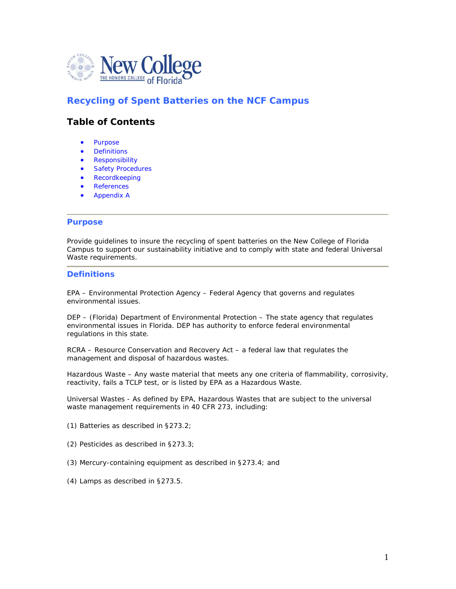

## **Recycling of Spent Batteries on the NCF Campus**

## **Table of Contents**

- [Purpose](http://www.safety.fsu.edu/policies/hearing.html#purpose#purpose)
- **[Definitions](http://www.safety.fsu.edu/policies/hearing.html#definitions#definitions)**
- [Responsibility](http://www.safety.fsu.edu/policies/hearing.html#responsibility#responsibility)
- Safety Procedures
- [Recordkeeping](http://www.safety.fsu.edu/policies/hearing.html#recordkeeping#recordkeeping)
- **References**
- Appendix A

#### **Purpose**

Provide guidelines to insure the recycling of spent batteries on the New College of Florida Campus to support our sustainability initiative and to comply with state and federal Universal Waste requirements.

#### **Definitions**

EPA – Environmental Protection Agency – Federal Agency that governs and regulates environmental issues.

DEP – (Florida) Department of Environmental Protection – The state agency that regulates environmental issues in Florida. DEP has authority to enforce federal environmental regulations in this state.

RCRA – Resource Conservation and Recovery Act – a federal law that regulates the management and disposal of hazardous wastes.

Hazardous Waste – Any waste material that meets any one criteria of flammability, corrosivity, reactivity, fails a TCLP test, or is listed by EPA as a Hazardous Waste.

Universal Wastes - As defined by EPA, Hazardous Wastes that are subject to the universal waste management requirements in 40 CFR 273, including:

- (1) Batteries as described in §273.2;
- (2) Pesticides as described in §273.3;
- (3) Mercury-containing equipment as described in §273.4; and
- (4) Lamps as described in §273.5.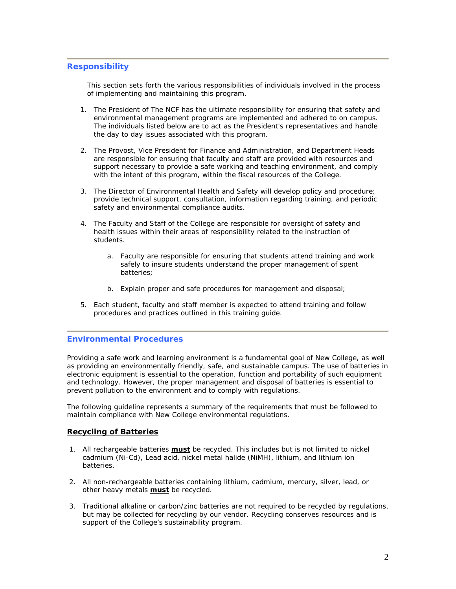#### **Responsibility**

This section sets forth the various responsibilities of individuals involved in the process of implementing and maintaining this program.

- 1. The President of The NCF has the ultimate responsibility for ensuring that safety and environmental management programs are implemented and adhered to on campus. The individuals listed below are to act as the President's representatives and handle the day to day issues associated with this program.
- 2. The Provost, Vice President for Finance and Administration, and Department Heads are responsible for ensuring that faculty and staff are provided with resources and support necessary to provide a safe working and teaching environment, and comply with the intent of this program, within the fiscal resources of the College.
- 3. The Director of Environmental Health and Safety will develop policy and procedure; provide technical support, consultation, information regarding training, and periodic safety and environmental compliance audits.
- 4. The Faculty and Staff of the College are responsible for oversight of safety and health issues within their areas of responsibility related to the instruction of students.
	- a. Faculty are responsible for ensuring that students attend training and work safely to insure students understand the proper management of spent batteries;
	- b. Explain proper and safe procedures for management and disposal;
- 5. Each student, faculty and staff member is expected to attend training and follow procedures and practices outlined in this training guide.

#### **Environmental Procedures**

Providing a safe work and learning environment is a fundamental goal of New College, as well as providing an environmentally friendly, safe, and sustainable campus. The use of batteries in electronic equipment is essential to the operation, function and portability of such equipment and technology. However, the proper management and disposal of batteries is essential to prevent pollution to the environment and to comply with regulations.

The following guideline represents a summary of the requirements that must be followed to maintain compliance with New College environmental regulations.

#### **Recycling of Batteries**

- 1. All rechargeable batteries **must** be recycled. This includes but is not limited to nickel cadmium (Ni-Cd), Lead acid, nickel metal halide (NiMH), lithium, and lithium ion batteries.
- 2. All non-rechargeable batteries containing lithium, cadmium, mercury, silver, lead, or other heavy metals **must** be recycled.
- 3. Traditional alkaline or carbon/zinc batteries are not required to be recycled by regulations, but may be collected for recycling by our vendor. Recycling conserves resources and is support of the College's sustainability program.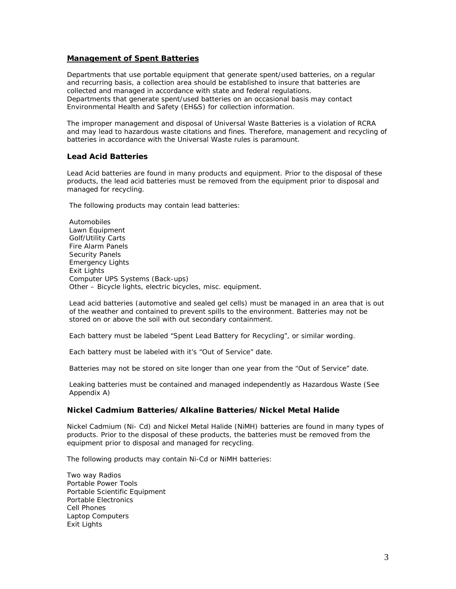#### **Management of Spent Batteries**

Departments that use portable equipment that generate spent/used batteries, on a regular and recurring basis, a collection area should be established to insure that batteries are collected and managed in accordance with state and federal regulations. Departments that generate spent/used batteries on an occasional basis may contact Environmental Health and Safety (EH&S) for collection information.

The improper management and disposal of Universal Waste Batteries is a violation of RCRA and may lead to hazardous waste citations and fines. Therefore, management and recycling of batteries in accordance with the Universal Waste rules is paramount.

#### **Lead Acid Batteries**

Lead Acid batteries are found in many products and equipment. Prior to the disposal of these products, the lead acid batteries must be removed from the equipment prior to disposal and managed for recycling.

The following products may contain lead batteries:

Automobiles Lawn Equipment Golf/Utility Carts Fire Alarm Panels Security Panels Emergency Lights Exit Lights Computer UPS Systems (Back-ups) Other – Bicycle lights, electric bicycles, misc. equipment.

Lead acid batteries (automotive and sealed gel cells) must be managed in an area that is out of the weather and contained to prevent spills to the environment. Batteries may not be stored on or above the soil with out secondary containment.

Each battery must be labeled "Spent Lead Battery for Recycling", or similar wording.

Each battery must be labeled with it's "Out of Service" date.

Batteries may not be stored on site longer than one year from the "Out of Service" date.

Leaking batteries must be contained and managed independently as Hazardous Waste (See Appendix A)

#### **Nickel Cadmium Batteries/Alkaline Batteries/Nickel Metal Halide**

Nickel Cadmium (Ni- Cd) and Nickel Metal Halide (NiMH) batteries are found in many types of products. Prior to the disposal of these products, the batteries must be removed from the equipment prior to disposal and managed for recycling.

The following products may contain Ni-Cd or NiMH batteries:

Two way Radios Portable Power Tools Portable Scientific Equipment Portable Electronics Cell Phones Laptop Computers Exit Lights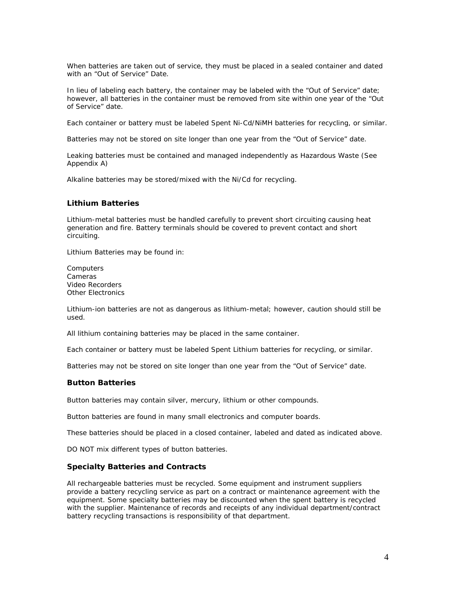When batteries are taken out of service, they must be placed in a sealed container and dated with an "Out of Service" Date.

In lieu of labeling each battery, the container may be labeled with the "Out of Service" date; however, all batteries in the container must be removed from site within one year of the "Out of Service" date.

Each container or battery must be labeled Spent Ni-Cd/NiMH batteries for recycling, or similar.

Batteries may not be stored on site longer than one year from the "Out of Service" date.

Leaking batteries must be contained and managed independently as Hazardous Waste (See Appendix A)

Alkaline batteries may be stored/mixed with the Ni/Cd for recycling.

#### **Lithium Batteries**

Lithium-metal batteries must be handled carefully to prevent short circuiting causing heat generation and fire. Battery terminals should be covered to prevent contact and short circuiting.

Lithium Batteries may be found in:

**Computers** Cameras Video Recorders Other Electronics

Lithium-ion batteries are not as dangerous as lithium-metal; however, caution should still be used.

All lithium containing batteries may be placed in the same container.

Each container or battery must be labeled Spent Lithium batteries for recycling, or similar.

Batteries may not be stored on site longer than one year from the "Out of Service" date.

#### **Button Batteries**

Button batteries may contain silver, mercury, lithium or other compounds.

Button batteries are found in many small electronics and computer boards.

These batteries should be placed in a closed container, labeled and dated as indicated above.

DO NOT mix different types of button batteries.

#### **Specialty Batteries and Contracts**

All rechargeable batteries must be recycled. Some equipment and instrument suppliers provide a battery recycling service as part on a contract or maintenance agreement with the equipment. Some specialty batteries may be discounted when the spent battery is recycled with the supplier. Maintenance of records and receipts of any individual department/contract battery recycling transactions is responsibility of that department.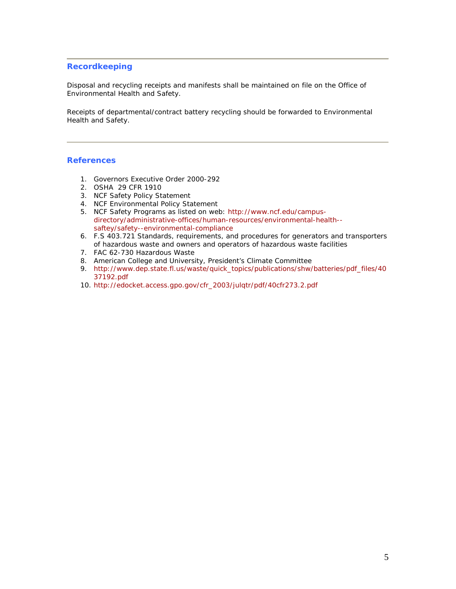#### **Recordkeeping**

Disposal and recycling receipts and manifests shall be maintained on file on the Office of Environmental Health and Safety.

Receipts of departmental/contract battery recycling should be forwarded to Environmental Health and Safety.

#### **References**

- 1. Governors Executive Order 2000-292
- 2. OSHA 29 CFR 1910
- 3. NCF Safety Policy Statement
- 4. NCF Environmental Policy Statement
- 5. NCF Safety Programs as listed on web: [http://www.ncf.edu/campus](http://www.ncf.edu/campus-directory/administrative-offices/human-resources/environmental-health--saftey/safety--environmental-compliance)[directory/administrative-offices/human-resources/environmental-health-](http://www.ncf.edu/campus-directory/administrative-offices/human-resources/environmental-health--saftey/safety--environmental-compliance) [saftey/safety--environmental-compliance](http://www.ncf.edu/campus-directory/administrative-offices/human-resources/environmental-health--saftey/safety--environmental-compliance)
- 6. F.S 403.721 Standards, requirements, and procedures for generators and transporters of hazardous waste and owners and operators of hazardous waste facilities
- 7. FAC 62-730 Hazardous Waste
- 8. American College and University, President's Climate Committee
- 9. [http://www.dep.state.fl.us/waste/quick\\_topics/publications/shw/batteries/pdf\\_files/40](http://www.dep.state.fl.us/waste/quick_topics/publications/shw/batteries/pdf_files/4037192.pdf) [37192.pdf](http://www.dep.state.fl.us/waste/quick_topics/publications/shw/batteries/pdf_files/4037192.pdf)
- 10. [http://edocket.access.gpo.gov/cfr\\_2003/julqtr/pdf/40cfr273.2.pdf](http://edocket.access.gpo.gov/cfr_2003/julqtr/pdf/40cfr273.2.pdf)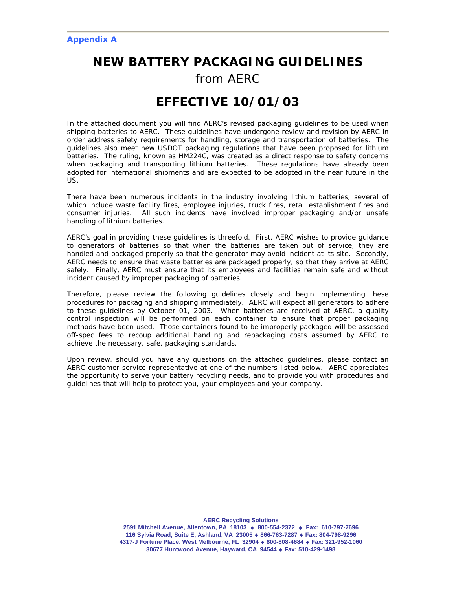# *NEW BATTERY PACKAGING GUIDELINES*

# *from AERC*

# **EFFECTIVE 10/01/03**

In the attached document you will find AERC's revised packaging guidelines to be used when shipping batteries to AERC. These guidelines have undergone review and revision by AERC in order address safety requirements for handling, storage and transportation of batteries. The guidelines also meet new USDOT packaging regulations that have been proposed for lithium batteries. The ruling, known as HM224C, was created as a direct response to safety concerns when packaging and transporting lithium batteries. These regulations have already been adopted for international shipments and are expected to be adopted in the near future in the US.

There have been numerous incidents in the industry involving lithium batteries, several of which include waste facility fires, employee injuries, truck fires, retail establishment fires and consumer injuries. All such incidents have involved improper packaging and/or unsafe handling of lithium batteries.

AERC's goal in providing these guidelines is threefold. First, AERC wishes to provide guidance to generators of batteries so that when the batteries are taken out of service, they are handled and packaged properly so that the generator may avoid incident at its site. Secondly, AERC needs to ensure that waste batteries are packaged properly, so that they arrive at AERC safely. Finally, AERC must ensure that its employees and facilities remain safe and without incident caused by improper packaging of batteries.

Therefore, please review the following guidelines closely and begin implementing these procedures for packaging and shipping immediately. AERC will expect all generators to adhere to these guidelines by October 01, 2003. When batteries are received at AERC, a quality control inspection will be performed on each container to ensure that proper packaging methods have been used. Those containers found to be improperly packaged will be assessed off-spec fees to recoup additional handling and repackaging costs assumed by AERC to achieve the necessary, safe, packaging standards.

Upon review, should you have any questions on the attached guidelines, please contact an AERC customer service representative at one of the numbers listed below. AERC appreciates the opportunity to serve your battery recycling needs, and to provide you with procedures and guidelines that will help to protect you, your employees and your company.

**AERC Recycling Solutions** 

**2591 Mitchell Avenue, Allentown, PA 18103** ♦ **800-554-2372** ♦ **Fax: 610-797-7696 116 Sylvia Road, Suite E, Ashland, VA 23005** ♦ **866-763-7287** ♦ **Fax: 804-798-9296 4317-J Fortune Place. West Melbourne, FL 32904** ♦ **800-808-4684** ♦ **Fax: 321-952-1060 30677 Huntwood Avenue, Hayward, CA 94544** ♦ **Fax: 510-429-1498**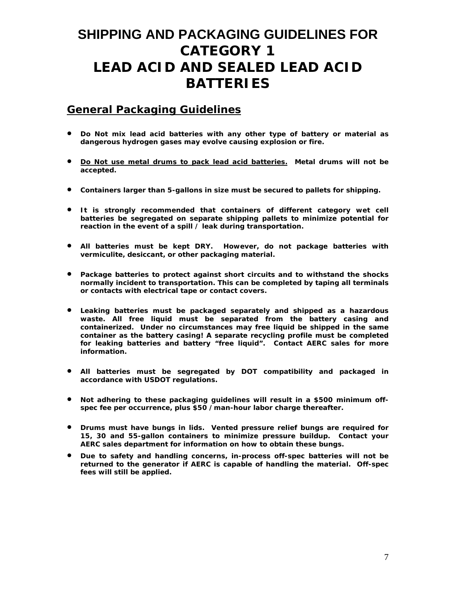# **SHIPPING AND PACKAGING GUIDELINES FOR CATEGORY 1 LEAD ACID AND SEALED LEAD ACID BATTERIES**

## **General Packaging Guidelines**

- **Do Not mix lead acid batteries with any other type of battery or material as dangerous hydrogen gases may evolve causing explosion or fire.**
- **Do Not use metal drums to pack lead acid batteries. Metal drums will not be accepted.**
- **Containers larger than 5-gallons in size must be secured to pallets for shipping.**
- **It is strongly recommended that containers of different category wet cell batteries be segregated on separate shipping pallets to minimize potential for reaction in the event of a spill / leak during transportation.**
- **All batteries must be kept DRY. However, do not package batteries with vermiculite, desiccant, or other packaging material.**
- **Package batteries to protect against short circuits and to withstand the shocks normally incident to transportation. This can be completed by taping all terminals or contacts with electrical tape or contact covers.**
- **Leaking batteries must be packaged separately and shipped as a hazardous waste. All free liquid must be separated from the battery casing and containerized. Under no circumstances may free liquid be shipped in the same container as the battery casing! A separate recycling profile must be completed for leaking batteries and battery "free liquid". Contact AERC sales for more information.**
- **All batteries must be segregated by DOT compatibility and packaged in accordance with USDOT regulations.**
- **Not adhering to these packaging guidelines will result in a \$500 minimum offspec fee per occurrence, plus \$50 /man-hour labor charge thereafter.**
- **Drums must have bungs in lids. Vented pressure relief bungs are required for 15, 30 and 55-gallon containers to minimize pressure buildup. Contact your AERC sales department for information on how to obtain these bungs.**
- **Due to safety and handling concerns, in-process off-spec batteries will not be returned to the generator if AERC is capable of handling the material. Off-spec fees will still be applied.**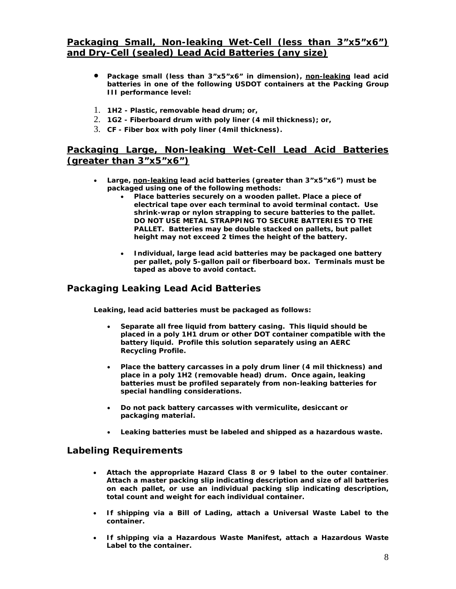## **Packaging Small, Non-leaking Wet-Cell (less than 3"x5"x6") and Dry-Cell (sealed) Lead Acid Batteries (any size)**

- **Package small (less than 3"x5"x6" in dimension), non-leaking lead acid batteries in one of the following USDOT containers at the Packing Group III performance level:**
- 1. **1H2 Plastic, removable head drum; or,**
- 2. **1G2 Fiberboard drum with poly liner (4 mil thickness); or,**
- 3. **CF Fiber box with poly liner (4mil thickness).**

## **Packaging Large, Non-leaking Wet-Cell Lead Acid Batteries (greater than 3"x5"x6")**

- **Large, non-leaking lead acid batteries (greater than 3"x5"x6") must be packaged using one of the following methods:** 
	- **Place batteries securely on a wooden pallet. Place a piece of electrical tape over each terminal to avoid terminal contact. Use shrink-wrap or nylon strapping to secure batteries to the pallet. DO NOT USE METAL STRAPPING TO SECURE BATTERIES TO THE PALLET. Batteries may be double stacked on pallets, but pallet height may not exceed 2 times the height of the battery.**
	- **Individual, large lead acid batteries may be packaged one battery per pallet, poly 5-gallon pail or fiberboard box. Terminals must be taped as above to avoid contact.**

## *Packaging Leaking Lead Acid Batteries*

**Leaking, lead acid batteries must be packaged as follows:** 

- **Separate all free liquid from battery casing. This liquid should be placed in a poly 1H1 drum or other DOT container compatible with the battery liquid. Profile this solution separately using an AERC Recycling Profile.**
- **Place the battery carcasses in a poly drum liner (4 mil thickness) and place in a poly 1H2 (removable head) drum. Once again, leaking batteries must be profiled separately from non-leaking batteries for special handling considerations.**
- **Do not pack battery carcasses with vermiculite, desiccant or packaging material.**
- **Leaking batteries must be labeled and shipped as a hazardous waste.**

- **Attach the appropriate Hazard Class 8 or 9 label to the outer container**. **Attach a master packing slip indicating description and size of all batteries on each pallet, or use an individual packing slip indicating description, total count and weight for each individual container.**
- **If shipping via a Bill of Lading, attach a Universal Waste Label to the container.**
- **If shipping via a Hazardous Waste Manifest, attach a Hazardous Waste Label to the container.**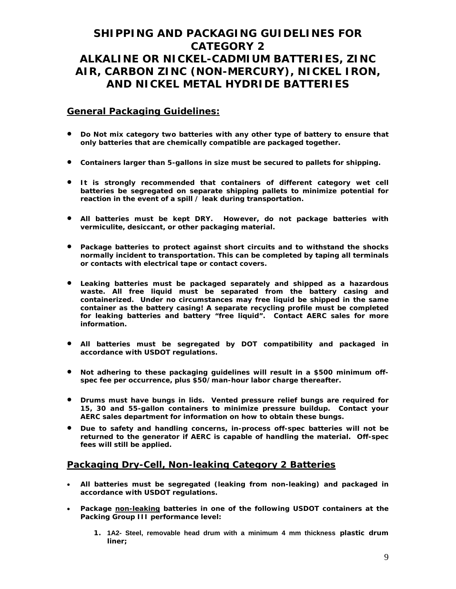# **SHIPPING AND PACKAGING GUIDELINES FOR CATEGORY 2 ALKALINE OR NICKEL-CADMIUM BATTERIES, ZINC AIR, CARBON ZINC (NON-MERCURY), NICKEL IRON, AND NICKEL METAL HYDRIDE BATTERIES**

### **General Packaging Guidelines:**

- **Do Not mix category two batteries with any other type of battery to ensure that only batteries that are chemically compatible are packaged together.**
- **Containers larger than 5-gallons in size must be secured to pallets for shipping.**
- **It is strongly recommended that containers of different category wet cell batteries be segregated on separate shipping pallets to minimize potential for reaction in the event of a spill / leak during transportation.**
- **All batteries must be kept DRY. However, do not package batteries with vermiculite, desiccant, or other packaging material.**
- **Package batteries to protect against short circuits and to withstand the shocks normally incident to transportation. This can be completed by taping all terminals or contacts with electrical tape or contact covers.**
- **Leaking batteries must be packaged separately and shipped as a hazardous waste. All free liquid must be separated from the battery casing and containerized. Under no circumstances may free liquid be shipped in the same container as the battery casing! A separate recycling profile must be completed for leaking batteries and battery "free liquid". Contact AERC sales for more information.**
- **All batteries must be segregated by DOT compatibility and packaged in accordance with USDOT regulations.**
- **Not adhering to these packaging guidelines will result in a \$500 minimum offspec fee per occurrence, plus \$50/man-hour labor charge thereafter.**
- **Drums must have bungs in lids. Vented pressure relief bungs are required for 15, 30 and 55-gallon containers to minimize pressure buildup. Contact your AERC sales department for information on how to obtain these bungs.**
- **Due to safety and handling concerns, in-process off-spec batteries will not be returned to the generator if AERC is capable of handling the material. Off-spec fees will still be applied.**

## **Packaging Dry-Cell, Non-leaking Category 2 Batteries**

- **All batteries must be segregated (leaking from non-leaking) and packaged in accordance with USDOT regulations.**
- **Package non-leaking batteries in one of the following USDOT containers at the Packing Group III performance level:** 
	- **1. 1A2- Steel, removable head drum with a minimum 4 mm thickness plastic drum liner;**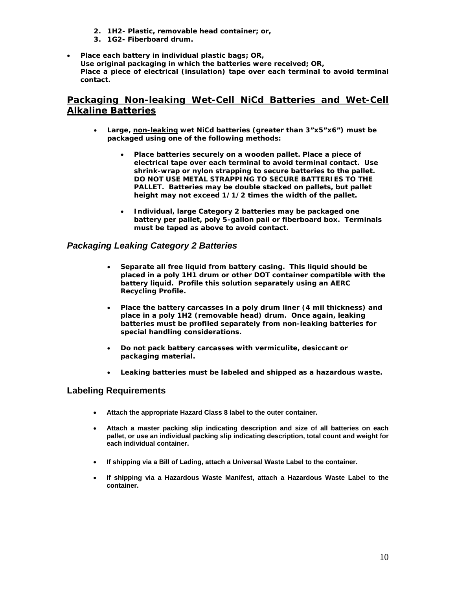- **2. 1H2- Plastic, removable head container; or,**
- **3. 1G2- Fiberboard drum.**
- **Place each battery in individual plastic bags;** *OR,*  **Use original packaging in which the batteries were received;** *OR,* **Place a piece of electrical (insulation) tape over each terminal to avoid terminal contact.**

## **Packaging Non-leaking Wet-Cell NiCd Batteries and Wet-Cell Alkaline Batteries**

- **Large, non-leaking wet NiCd batteries (greater than 3"x5"x6") must be packaged using one of the following methods:** 
	- **Place batteries securely on a wooden pallet. Place a piece of electrical tape over each terminal to avoid terminal contact. Use shrink-wrap or nylon strapping to secure batteries to the pallet. DO NOT USE METAL STRAPPING TO SECURE BATTERIES TO THE PALLET. Batteries may be double stacked on pallets, but pallet height may not exceed 1/1/2 times the width of the pallet.**
	- **Individual, large Category 2 batteries may be packaged one battery per pallet, poly 5-gallon pail or fiberboard box. Terminals must be taped as above to avoid contact.**

#### *Packaging Leaking Category 2 Batteries*

- **Separate all free liquid from battery casing. This liquid should be placed in a poly 1H1 drum or other DOT container compatible with the battery liquid. Profile this solution separately using an AERC Recycling Profile.**
- **Place the battery carcasses in a poly drum liner (4 mil thickness) and place in a poly 1H2 (removable head) drum. Once again, leaking batteries must be profiled separately from non-leaking batteries for special handling considerations.**
- **Do not pack battery carcasses with vermiculite, desiccant or packaging material.**
- **Leaking batteries must be labeled and shipped as a hazardous waste.**

- **Attach the appropriate Hazard Class 8 label to the outer container.**
- **Attach a master packing slip indicating description and size of all batteries on each pallet, or use an individual packing slip indicating description, total count and weight for each individual container.**
- **If shipping via a Bill of Lading, attach a Universal Waste Label to the container.**
- **If shipping via a Hazardous Waste Manifest, attach a Hazardous Waste Label to the container.**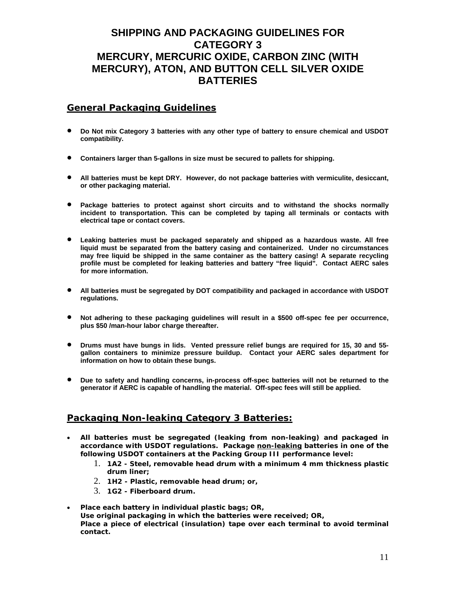## **SHIPPING AND PACKAGING GUIDELINES FOR CATEGORY 3 MERCURY, MERCURIC OXIDE, CARBON ZINC (WITH MERCURY), ATON, AND BUTTON CELL SILVER OXIDE BATTERIES**

## **General Packaging Guidelines**

- **Do Not mix Category 3 batteries with any other type of battery to ensure chemical and USDOT compatibility.**
- **Containers larger than 5-gallons in size must be secured to pallets for shipping.**
- **All batteries must be kept DRY. However, do not package batteries with vermiculite, desiccant, or other packaging material.**
- **Package batteries to protect against short circuits and to withstand the shocks normally incident to transportation. This can be completed by taping all terminals or contacts with electrical tape or contact covers.**
- **Leaking batteries must be packaged separately and shipped as a hazardous waste. All free liquid must be separated from the battery casing and containerized. Under no circumstances may free liquid be shipped in the same container as the battery casing! A separate recycling profile must be completed for leaking batteries and battery "free liquid". Contact AERC sales for more information.**
- **All batteries must be segregated by DOT compatibility and packaged in accordance with USDOT regulations.**
- **Not adhering to these packaging guidelines will result in a \$500 off-spec fee per occurrence, plus \$50 /man-hour labor charge thereafter.**
- **Drums must have bungs in lids. Vented pressure relief bungs are required for 15, 30 and 55 gallon containers to minimize pressure buildup. Contact your AERC sales department for information on how to obtain these bungs.**
- **Due to safety and handling concerns, in-process off-spec batteries will not be returned to the generator if AERC is capable of handling the material. Off-spec fees will still be applied.**

## **Packaging Non-leaking Category 3 Batteries:**

- **All batteries must be segregated (leaking from non-leaking) and packaged in**  accordance with USDOT regulations. Package non-leaking batteries in one of the **following USDOT containers at the Packing Group III performance level:** 
	- 1. **1A2 Steel, removable head drum with a minimum 4 mm thickness plastic drum liner;**
	- 2. **1H2 Plastic, removable head drum; or,**
	- 3. **1G2 Fiberboard drum.**
- **Place each battery in individual plastic bags;** *OR,* **Use original packaging in which the batteries were received;** *OR,* **Place a piece of electrical (insulation) tape over each terminal to avoid terminal contact.**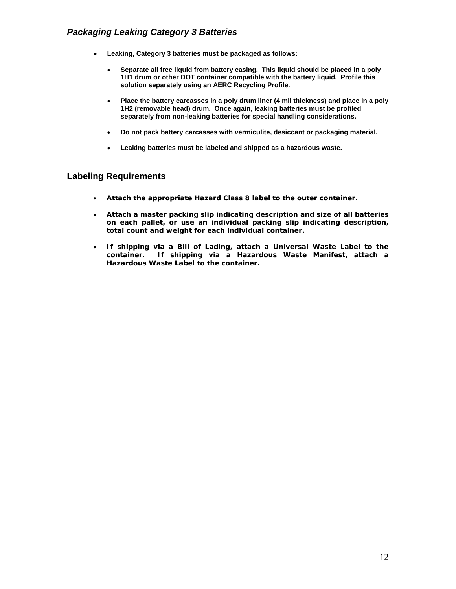## *Packaging Leaking Category 3 Batteries*

- **Leaking, Category 3 batteries must be packaged as follows:** 
	- **Separate all free liquid from battery casing. This liquid should be placed in a poly 1H1 drum or other DOT container compatible with the battery liquid. Profile this solution separately using an AERC Recycling Profile.**
	- **Place the battery carcasses in a poly drum liner (4 mil thickness) and place in a poly 1H2 (removable head) drum. Once again, leaking batteries must be profiled separately from non-leaking batteries for special handling considerations.**
	- **Do not pack battery carcasses with vermiculite, desiccant or packaging material.**
	- **Leaking batteries must be labeled and shipped as a hazardous waste.**

- **Attach the appropriate Hazard Class 8 label to the outer container.**
- **Attach a master packing slip indicating description and size of all batteries on each pallet, or use an individual packing slip indicating description, total count and weight for each individual container.**
- **If shipping via a Bill of Lading, attach a Universal Waste Label to the container. If shipping via a Hazardous Waste Manifest, attach a Hazardous Waste Label to the container.**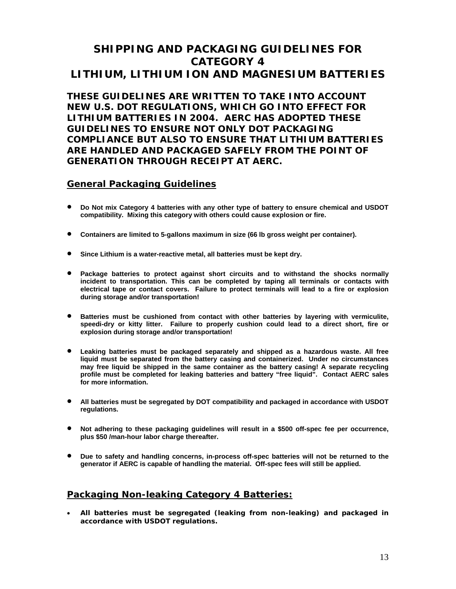# **SHIPPING AND PACKAGING GUIDELINES FOR CATEGORY 4 LITHIUM, LITHIUM ION AND MAGNESIUM BATTERIES**

**THESE GUIDELINES ARE WRITTEN TO TAKE INTO ACCOUNT NEW U.S. DOT REGULATIONS, WHICH GO INTO EFFECT FOR LITHIUM BATTERIES IN 2004. AERC HAS ADOPTED THESE GUIDELINES TO ENSURE NOT ONLY DOT PACKAGING COMPLIANCE BUT ALSO TO ENSURE THAT LITHIUM BATTERIES ARE HANDLED AND PACKAGED SAFELY FROM THE POINT OF GENERATION THROUGH RECEIPT AT AERC.**

## **General Packaging Guidelines**

- **Do Not mix Category 4 batteries with any other type of battery to ensure chemical and USDOT compatibility. Mixing this category with others could cause explosion or fire.**
- **Containers are limited to 5-gallons maximum in size (66 lb gross weight per container).**
- **Since Lithium is a water-reactive metal, all batteries must be kept dry.**
- **Package batteries to protect against short circuits and to withstand the shocks normally incident to transportation. This can be completed by taping all terminals or contacts with electrical tape or contact covers. Failure to protect terminals will lead to a fire or explosion during storage and/or transportation!**
- **Batteries must be cushioned from contact with other batteries by layering with vermiculite, speedi-dry or kitty litter. Failure to properly cushion could lead to a direct short, fire or explosion during storage and/or transportation!**
- **Leaking batteries must be packaged separately and shipped as a hazardous waste. All free liquid must be separated from the battery casing and containerized. Under no circumstances may free liquid be shipped in the same container as the battery casing! A separate recycling profile must be completed for leaking batteries and battery "free liquid". Contact AERC sales for more information.**
- **All batteries must be segregated by DOT compatibility and packaged in accordance with USDOT regulations.**
- **Not adhering to these packaging guidelines will result in a \$500 off-spec fee per occurrence, plus \$50 /man-hour labor charge thereafter.**
- **Due to safety and handling concerns, in-process off-spec batteries will not be returned to the generator if AERC is capable of handling the material. Off-spec fees will still be applied.**

## **Packaging Non-leaking Category 4 Batteries:**

• **All batteries must be segregated (leaking from non-leaking) and packaged in accordance with USDOT regulations.**